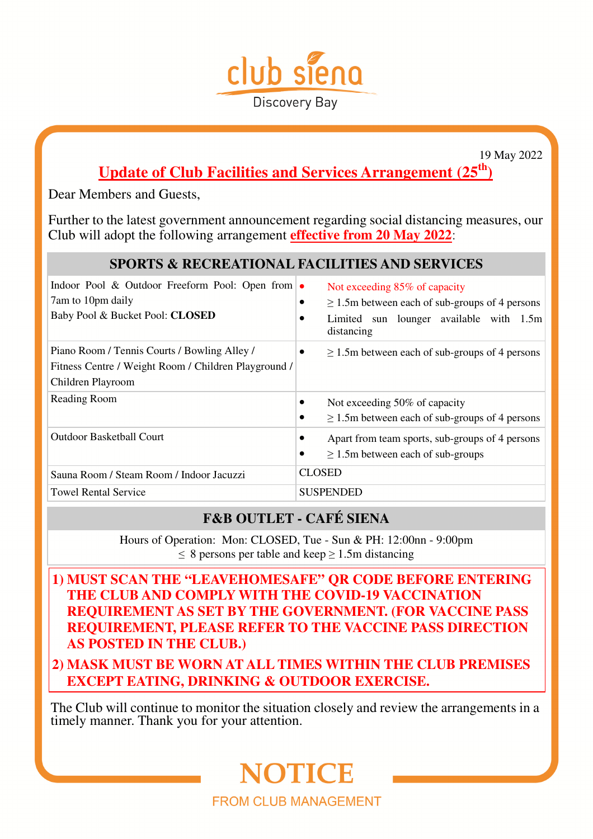

19 May 2022

## **Update of Club Facilities and Services Arrangement (25th)**

Dear Members and Guests,

Further to the latest government announcement regarding social distancing measures, our Club will adopt the following arrangement **effective from 20 May 2022**:

### **SPORTS & RECREATIONAL FACILITIES AND SERVICES**

| Indoor Pool & Outdoor Freeform Pool: Open from $\bullet$<br>7am to 10pm daily<br>Baby Pool & Bucket Pool: CLOSED          | Not exceeding 85% of capacity<br>$\geq$ 1.5m between each of sub-groups of 4 persons<br>Limited sun lounger available with 1.5m<br>distancing |
|---------------------------------------------------------------------------------------------------------------------------|-----------------------------------------------------------------------------------------------------------------------------------------------|
| Piano Room / Tennis Courts / Bowling Alley /<br>Fitness Centre / Weight Room / Children Playground /<br>Children Playroom | $\geq$ 1.5m between each of sub-groups of 4 persons<br>٠                                                                                      |
| Reading Room                                                                                                              | Not exceeding 50% of capacity<br>$\geq$ 1.5m between each of sub-groups of 4 persons                                                          |
| <b>Outdoor Basketball Court</b>                                                                                           | Apart from team sports, sub-groups of 4 persons<br>$\geq$ 1.5m between each of sub-groups<br>٠                                                |
| Sauna Room / Steam Room / Indoor Jacuzzi                                                                                  | <b>CLOSED</b>                                                                                                                                 |
| <b>Towel Rental Service</b>                                                                                               | <b>SUSPENDED</b>                                                                                                                              |

## **F&B OUTLET - CAFÉ SIENA**

Hours of Operation: Mon: CLOSED, Tue - Sun & PH: 12:00nn - 9:00pm  $\leq 8$  persons per table and keep  $\geq 1.5$ m distancing

- **1) MUST SCAN THE "LEAVEHOMESAFE" QR CODE BEFORE ENTERING THE CLUB AND COMPLY WITH THE COVID-19 VACCINATION REQUIREMENT AS SET BY THE GOVERNMENT. (FOR VACCINE PASS REQUIREMENT, PLEASE REFER TO THE VACCINE PASS DIRECTION AS POSTED IN THE CLUB.)**
- **2) MASK MUST BE WORN AT ALL TIMES WITHIN THE CLUB PREMISES EXCEPT EATING, DRINKING & OUTDOOR EXERCISE.**

The Club will continue to monitor the situation closely and review the arrangements in a timely manner. Thank you for your attention.

# NOTICE **FROM CLUB MANAGEMENT**